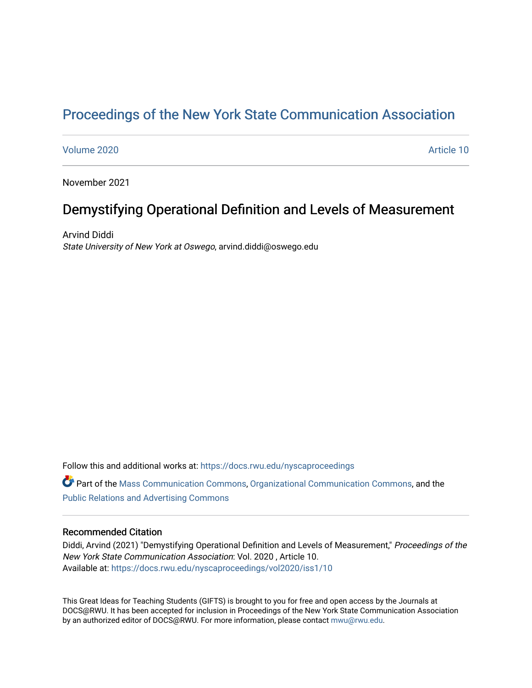# [Proceedings of the New York State Communication Association](https://docs.rwu.edu/nyscaproceedings)

### [Volume 2020](https://docs.rwu.edu/nyscaproceedings/vol2020) [Article 10](https://docs.rwu.edu/nyscaproceedings/vol2020/iss1/10)

November 2021

## Demystifying Operational Definition and Levels of Measurement

Arvind Diddi State University of New York at Oswego, arvind.diddi@oswego.edu

Follow this and additional works at: [https://docs.rwu.edu/nyscaproceedings](https://docs.rwu.edu/nyscaproceedings?utm_source=docs.rwu.edu%2Fnyscaproceedings%2Fvol2020%2Fiss1%2F10&utm_medium=PDF&utm_campaign=PDFCoverPages)

Part of the [Mass Communication Commons,](http://network.bepress.com/hgg/discipline/334?utm_source=docs.rwu.edu%2Fnyscaproceedings%2Fvol2020%2Fiss1%2F10&utm_medium=PDF&utm_campaign=PDFCoverPages) [Organizational Communication Commons](http://network.bepress.com/hgg/discipline/335?utm_source=docs.rwu.edu%2Fnyscaproceedings%2Fvol2020%2Fiss1%2F10&utm_medium=PDF&utm_campaign=PDFCoverPages), and the [Public Relations and Advertising Commons](http://network.bepress.com/hgg/discipline/336?utm_source=docs.rwu.edu%2Fnyscaproceedings%2Fvol2020%2Fiss1%2F10&utm_medium=PDF&utm_campaign=PDFCoverPages) 

#### Recommended Citation

Diddi, Arvind (2021) "Demystifying Operational Definition and Levels of Measurement," Proceedings of the New York State Communication Association: Vol. 2020 , Article 10. Available at: [https://docs.rwu.edu/nyscaproceedings/vol2020/iss1/10](https://docs.rwu.edu/nyscaproceedings/vol2020/iss1/10?utm_source=docs.rwu.edu%2Fnyscaproceedings%2Fvol2020%2Fiss1%2F10&utm_medium=PDF&utm_campaign=PDFCoverPages) 

This Great Ideas for Teaching Students (GIFTS) is brought to you for free and open access by the Journals at DOCS@RWU. It has been accepted for inclusion in Proceedings of the New York State Communication Association by an authorized editor of DOCS@RWU. For more information, please contact [mwu@rwu.edu.](mailto:mwu@rwu.edu)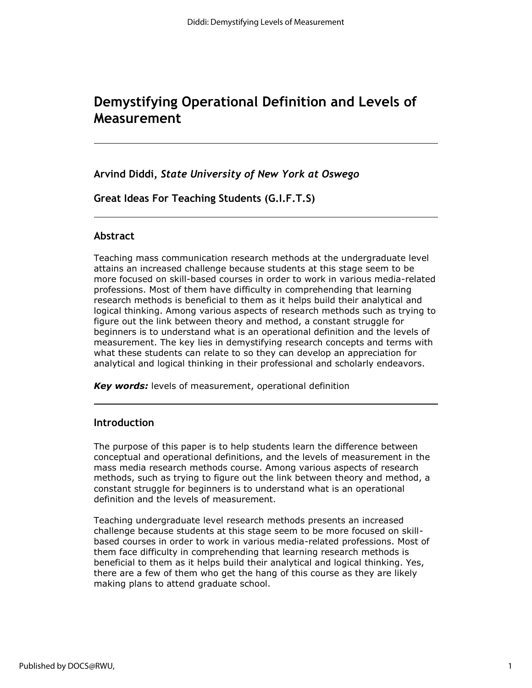# **Demystifying Operational Definition and Levels of Measurement**

**Arvind Diddi,** *State University of New York at Oswego*

**Great Ideas For Teaching Students (G.I.F.T.S)**

## **Abstract**

Teaching mass communication research methods at the undergraduate level attains an increased challenge because students at this stage seem to be more focused on skill-based courses in order to work in various media-related professions. Most of them have difficulty in comprehending that learning research methods is beneficial to them as it helps build their analytical and logical thinking. Among various aspects of research methods such as trying to figure out the link between theory and method, a constant struggle for beginners is to understand what is an operational definition and the levels of measurement. The key lies in demystifying research concepts and terms with what these students can relate to so they can develop an appreciation for analytical and logical thinking in their professional and scholarly endeavors.

*Key words:* levels of measurement, operational definition

## **Introduction**

The purpose of this paper is to help students learn the difference between conceptual and operational definitions, and the levels of measurement in the mass media research methods course. Among various aspects of research methods, such as trying to figure out the link between theory and method, a constant struggle for beginners is to understand what is an operational definition and the levels of measurement.

Teaching undergraduate level research methods presents an increased challenge because students at this stage seem to be more focused on skillbased courses in order to work in various media-related professions. Most of them face difficulty in comprehending that learning research methods is beneficial to them as it helps build their analytical and logical thinking. Yes, there are a few of them who get the hang of this course as they are likely making plans to attend graduate school.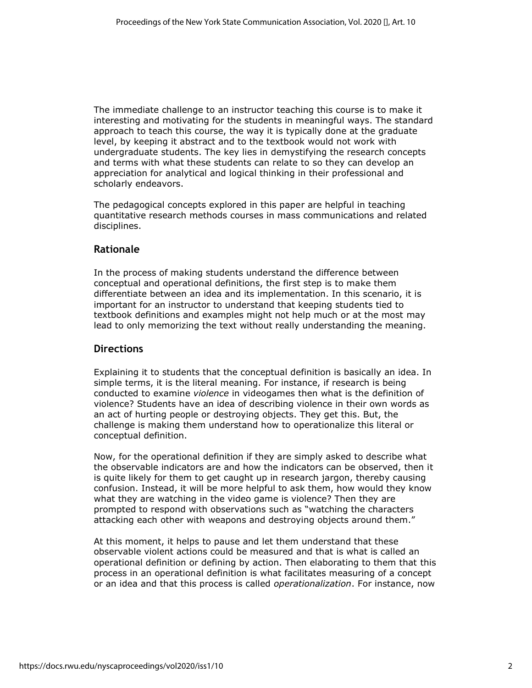The immediate challenge to an instructor teaching this course is to make it interesting and motivating for the students in meaningful ways. The standard approach to teach this course, the way it is typically done at the graduate level, by keeping it abstract and to the textbook would not work with undergraduate students. The key lies in demystifying the research concepts and terms with what these students can relate to so they can develop an appreciation for analytical and logical thinking in their professional and scholarly endeavors.

The pedagogical concepts explored in this paper are helpful in teaching quantitative research methods courses in mass communications and related disciplines.

## **Rationale**

In the process of making students understand the difference between conceptual and operational definitions, the first step is to make them differentiate between an idea and its implementation. In this scenario, it is important for an instructor to understand that keeping students tied to textbook definitions and examples might not help much or at the most may lead to only memorizing the text without really understanding the meaning.

## **Directions**

Explaining it to students that the conceptual definition is basically an idea. In simple terms, it is the literal meaning. For instance, if research is being conducted to examine *violence* in videogames then what is the definition of violence? Students have an idea of describing violence in their own words as an act of hurting people or destroying objects. They get this. But, the challenge is making them understand how to operationalize this literal or conceptual definition.

Now, for the operational definition if they are simply asked to describe what the observable indicators are and how the indicators can be observed, then it is quite likely for them to get caught up in research jargon, thereby causing confusion. Instead, it will be more helpful to ask them, how would they know what they are watching in the video game is violence? Then they are prompted to respond with observations such as "watching the characters attacking each other with weapons and destroying objects around them."

At this moment, it helps to pause and let them understand that these observable violent actions could be measured and that is what is called an operational definition or defining by action. Then elaborating to them that this process in an operational definition is what facilitates measuring of a concept or an idea and that this process is called *operationalization*. For instance, now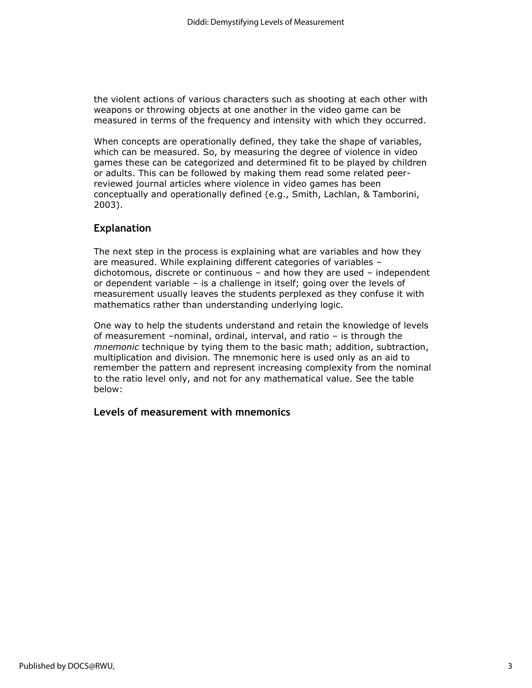the violent actions of various characters such as shooting at each other with weapons or throwing objects at one another in the video game can be measured in terms of the frequency and intensity with which they occurred.

When concepts are operationally defined, they take the shape of variables, which can be measured. So, by measuring the degree of violence in video games these can be categorized and determined fit to be played by children or adults. This can be followed by making them read some related peerreviewed journal articles where violence in video games has been conceptually and operationally defined (e.g., Smith, Lachlan, & Tamborini, 2003).

## **Explanation**

The next step in the process is explaining what are variables and how they are measured. While explaining different categories of variables – dichotomous, discrete or continuous – and how they are used – independent or dependent variable – is a challenge in itself; going over the levels of measurement usually leaves the students perplexed as they confuse it with mathematics rather than understanding underlying logic.

One way to help the students understand and retain the knowledge of levels of measurement –nominal, ordinal, interval, and ratio – is through the *mnemonic* technique by tying them to the basic math; addition, subtraction, multiplication and division. The mnemonic here is used only as an aid to remember the pattern and represent increasing complexity from the nominal to the ratio level only, and not for any mathematical value. See the table below:

## **Levels of measurement with mnemonics**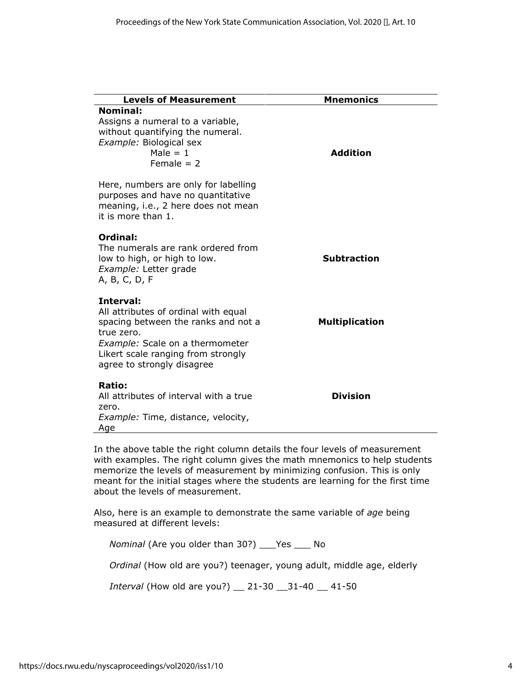| <b>Levels of Measurement</b>                                                                                                                                                                                  | <b>Mnemonics</b>      |
|---------------------------------------------------------------------------------------------------------------------------------------------------------------------------------------------------------------|-----------------------|
| <b>Nominal:</b><br>Assigns a numeral to a variable,<br>without quantifying the numeral.<br>Example: Biological sex<br>Male $= 1$<br>Female $= 2$                                                              | <b>Addition</b>       |
| Here, numbers are only for labelling<br>purposes and have no quantitative<br>meaning, i.e., 2 here does not mean<br>it is more than 1.                                                                        |                       |
| Ordinal:<br>The numerals are rank ordered from<br>low to high, or high to low.<br>Example: Letter grade<br>A, B, C, D, F                                                                                      | <b>Subtraction</b>    |
| Interval:<br>All attributes of ordinal with equal<br>spacing between the ranks and not a<br>true zero.<br>Example: Scale on a thermometer<br>Likert scale ranging from strongly<br>agree to strongly disagree | <b>Multiplication</b> |
| Ratio:<br>All attributes of interval with a true<br>zero.<br>Example: Time, distance, velocity,<br>Age                                                                                                        | <b>Division</b>       |

In the above table the right column details the four levels of measurement with examples. The right column gives the math mnemonics to help students memorize the levels of measurement by minimizing confusion. This is only meant for the initial stages where the students are learning for the first time about the levels of measurement.

Also, here is an example to demonstrate the same variable of *age* being measured at different levels:

*Nominal* (Are you older than 30?) \_\_\_Yes \_\_\_ No

*Ordinal* (How old are you?) teenager, young adult, middle age, elderly

*Interval* (How old are you?) \_\_ 21-30 \_\_31-40 \_\_ 41-50